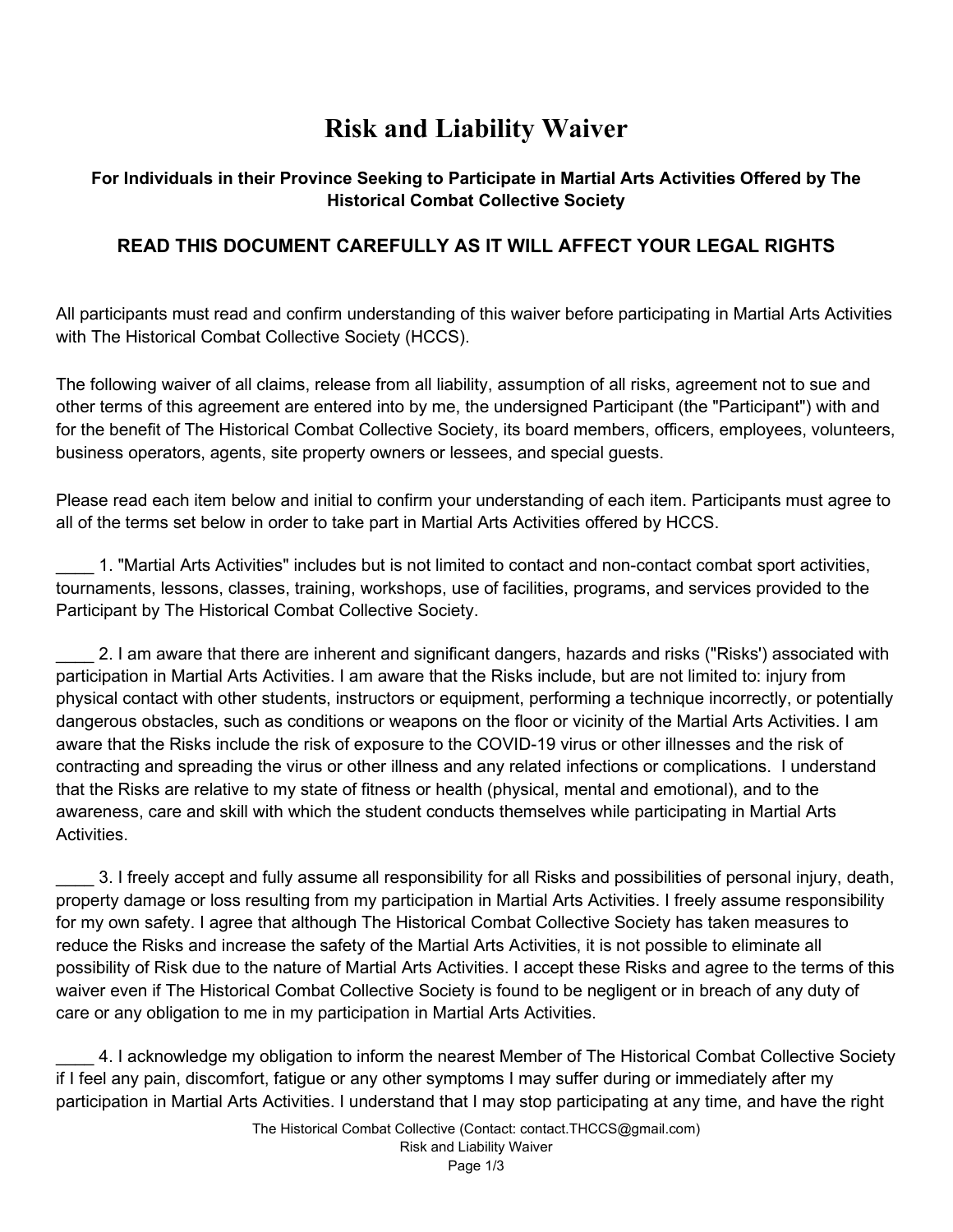## **Risk and Liability Waiver**

## **For Individuals in their Province Seeking to Participate in Martial Arts Activities Offered by The Historical Combat Collective Society**

## **READ THIS DOCUMENT CAREFULLY AS IT WILL AFFECT YOUR LEGAL RIGHTS**

All participants must read and confirm understanding of this waiver before participating in Martial Arts Activities with The Historical Combat Collective Society (HCCS).

The following waiver of all claims, release from all liability, assumption of all risks, agreement not to sue and other terms of this agreement are entered into by me, the undersigned Participant (the "Participant") with and for the benefit of The Historical Combat Collective Society, its board members, officers, employees, volunteers, business operators, agents, site property owners or lessees, and special guests.

Please read each item below and initial to confirm your understanding of each item. Participants must agree to all of the terms set below in order to take part in Martial Arts Activities offered by HCCS.

1. "Martial Arts Activities" includes but is not limited to contact and non-contact combat sport activities, tournaments, lessons, classes, training, workshops, use of facilities, programs, and services provided to the Participant by The Historical Combat Collective Society.

\_\_\_\_ 2. I am aware that there are inherent and significant dangers, hazards and risks ("Risks') associated with participation in Martial Arts Activities. I am aware that the Risks include, but are not limited to: injury from physical contact with other students, instructors or equipment, performing a technique incorrectly, or potentially dangerous obstacles, such as conditions or weapons on the floor or vicinity of the Martial Arts Activities. I am aware that the Risks include the risk of exposure to the COVID-19 virus or other illnesses and the risk of contracting and spreading the virus or other illness and any related infections or complications. I understand that the Risks are relative to my state of fitness or health (physical, mental and emotional), and to the awareness, care and skill with which the student conducts themselves while participating in Martial Arts **Activities** 

\_\_\_\_ 3. I freely accept and fully assume all responsibility for all Risks and possibilities of personal injury, death, property damage or loss resulting from my participation in Martial Arts Activities. I freely assume responsibility for my own safety. I agree that although The Historical Combat Collective Society has taken measures to reduce the Risks and increase the safety of the Martial Arts Activities, it is not possible to eliminate all possibility of Risk due to the nature of Martial Arts Activities. I accept these Risks and agree to the terms of this waiver even if The Historical Combat Collective Society is found to be negligent or in breach of any duty of care or any obligation to me in my participation in Martial Arts Activities.

\_\_\_\_ 4. I acknowledge my obligation to inform the nearest Member of The Historical Combat Collective Society if I feel any pain, discomfort, fatigue or any other symptoms I may suffer during or immediately after my participation in Martial Arts Activities. I understand that I may stop participating at any time, and have the right

> The Historical Combat Collective (Contact: contact.THCCS@gmail.com) Risk and Liability Waiver Page 1/3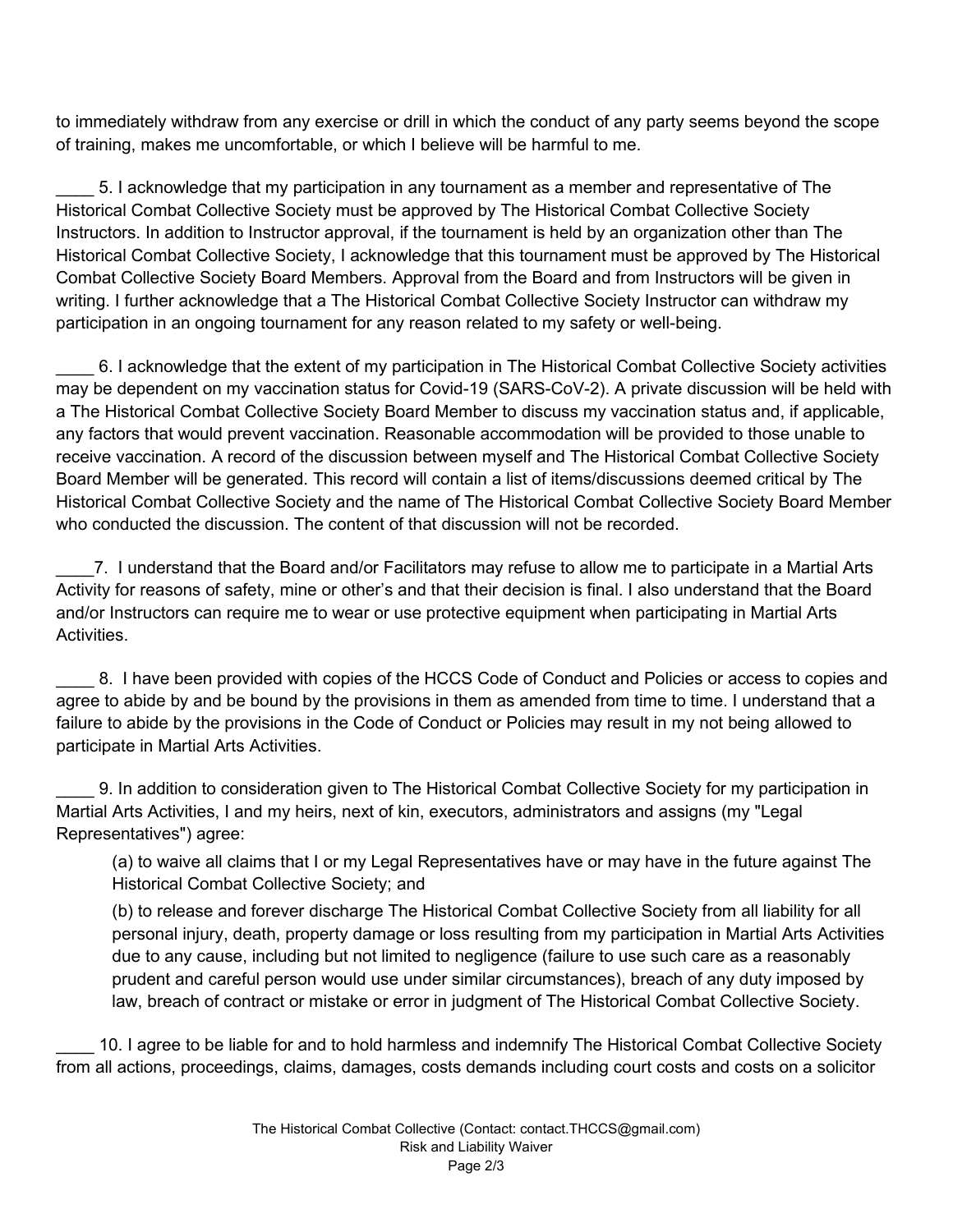to immediately withdraw from any exercise or drill in which the conduct of any party seems beyond the scope of training, makes me uncomfortable, or which I believe will be harmful to me.

\_\_\_\_ 5. I acknowledge that my participation in any tournament as a member and representative of The Historical Combat Collective Society must be approved by The Historical Combat Collective Society Instructors. In addition to Instructor approval, if the tournament is held by an organization other than The Historical Combat Collective Society, I acknowledge that this tournament must be approved by The Historical Combat Collective Society Board Members. Approval from the Board and from Instructors will be given in writing. I further acknowledge that a The Historical Combat Collective Society Instructor can withdraw my participation in an ongoing tournament for any reason related to my safety or well-being.

\_\_\_\_ 6. I acknowledge that the extent of my participation in The Historical Combat Collective Society activities may be dependent on my vaccination status for Covid-19 (SARS-CoV-2). A private discussion will be held with a The Historical Combat Collective Society Board Member to discuss my vaccination status and, if applicable, any factors that would prevent vaccination. Reasonable accommodation will be provided to those unable to receive vaccination. A record of the discussion between myself and The Historical Combat Collective Society Board Member will be generated. This record will contain a list of items/discussions deemed critical by The Historical Combat Collective Society and the name of The Historical Combat Collective Society Board Member who conducted the discussion. The content of that discussion will not be recorded.

\_\_\_\_7. I understand that the Board and/or Facilitators may refuse to allow me to participate in a Martial Arts Activity for reasons of safety, mine or other's and that their decision is final. I also understand that the Board and/or Instructors can require me to wear or use protective equipment when participating in Martial Arts Activities.

\_\_\_\_ 8. I have been provided with copies of the HCCS Code of Conduct and Policies or access to copies and agree to abide by and be bound by the provisions in them as amended from time to time. I understand that a failure to abide by the provisions in the Code of Conduct or Policies may result in my not being allowed to participate in Martial Arts Activities.

\_\_\_\_ 9. In addition to consideration given to The Historical Combat Collective Society for my participation in Martial Arts Activities, I and my heirs, next of kin, executors, administrators and assigns (my "Legal Representatives") agree:

(a) to waive all claims that I or my Legal Representatives have or may have in the future against The Historical Combat Collective Society; and

(b) to release and forever discharge The Historical Combat Collective Society from all liability for all personal injury, death, property damage or loss resulting from my participation in Martial Arts Activities due to any cause, including but not limited to negligence (failure to use such care as a reasonably prudent and careful person would use under similar circumstances), breach of any duty imposed by law, breach of contract or mistake or error in judgment of The Historical Combat Collective Society.

10. I agree to be liable for and to hold harmless and indemnify The Historical Combat Collective Society from all actions, proceedings, claims, damages, costs demands including court costs and costs on a solicitor